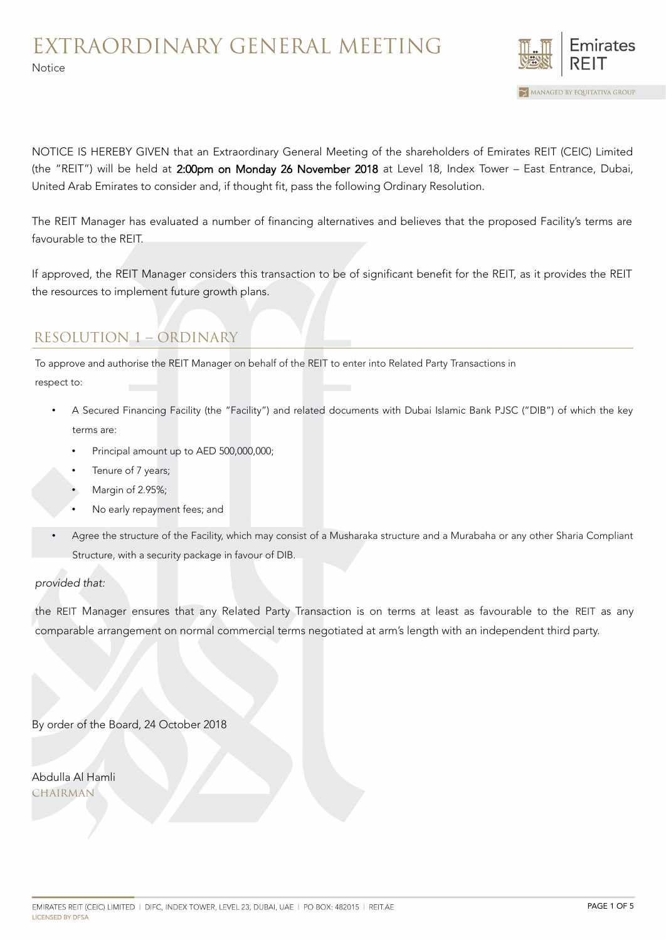

NOTICE IS HEREBY GIVEN that an Extraordinary General Meeting of the shareholders of Emirates REIT (CEIC) Limited (the "REIT") will be held at 2:00pm on Monday 26 November 2018 at Level 18, Index Tower – East Entrance, Dubai, United Arab Emirates to consider and, if thought fit, pass the following Ordinary Resolution.

The REIT Manager has evaluated a number of financing alternatives and believes that the proposed Facility's terms are favourable to the REIT.

If approved, the REIT Manager considers this transaction to be of significant benefit for the REIT, as it provides the REIT the resources to implement future growth plans.

# RESOLUTION 1 – ORDINARY

To approve and authorise the REIT Manager on behalf of the REIT to enter into Related Party Transactions in

respect to:

Notice

- A Secured Financing Facility (the "Facility") and related documents with Dubai Islamic Bank PJSC ("DIB") of which the key terms are:
	- Principal amount up to AED 500,000,000;
	- Tenure of 7 years;
	- Margin of 2.95%;
	- No early repayment fees; and
- Agree the structure of the Facility, which may consist of a Musharaka structure and a Murabaha or any other Sharia Compliant Structure, with a security package in favour of DIB.

#### provided that:

the REIT Manager ensures that any Related Party Transaction is on terms at least as favourable to the REIT as any comparable arrangement on normal commercial terms negotiated at arm's length with an independent third party.

By order of the Board, 24 October 2018

Abdulla Al Hamli CHAIRMAN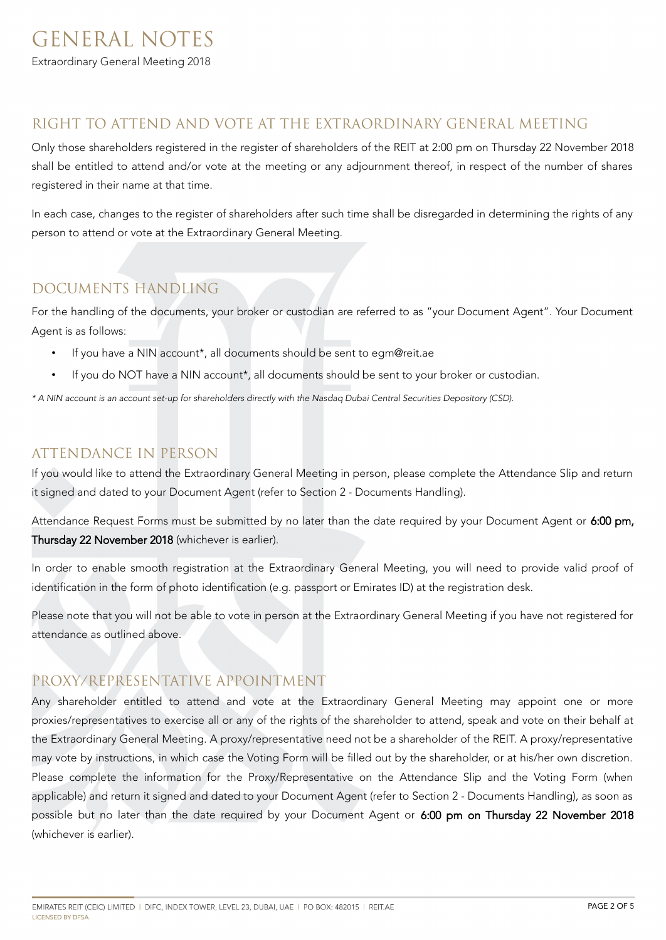## GENERAL NOTES Extraordinary General Meeting 2018

#### RIGHT TO ATTEND AND VOTE AT THE EXTRAORDINARY GENERAL MEETING

Only those shareholders registered in the register of shareholders of the REIT at 2:00 pm on Thursday 22 November 2018 shall be entitled to attend and/or vote at the meeting or any adjournment thereof, in respect of the number of shares registered in their name at that time.

In each case, changes to the register of shareholders after such time shall be disregarded in determining the rights of any person to attend or vote at the Extraordinary General Meeting.

### DOCUMENTS HANDLING

For the handling of the documents, your broker or custodian are referred to as "your Document Agent". Your Document Agent is as follows:

- If you have a NIN account<sup>\*</sup>, all documents should be sent to egm@reit.ae
- If you do NOT have a NIN account\*, all documents should be sent to your broker or custodian.

\* A NIN account is an account set-up for shareholders directly with the Nasdaq Dubai Central Securities Depository (CSD).

#### ATTENDANCE IN PERSON

If you would like to attend the Extraordinary General Meeting in person, please complete the Attendance Slip and return it signed and dated to your Document Agent (refer to Section 2 - Documents Handling).

Attendance Request Forms must be submitted by no later than the date required by your Document Agent or 6:00 pm, Thursday 22 November 2018 (whichever is earlier).

In order to enable smooth registration at the Extraordinary General Meeting, you will need to provide valid proof of identification in the form of photo identification (e.g. passport or Emirates ID) at the registration desk.

Please note that you will not be able to vote in person at the Extraordinary General Meeting if you have not registered for attendance as outlined above.

#### PROXY/REPRESENTATIVE APPOINTMENT

Any shareholder entitled to attend and vote at the Extraordinary General Meeting may appoint one or more proxies/representatives to exercise all or any of the rights of the shareholder to attend, speak and vote on their behalf at the Extraordinary General Meeting. A proxy/representative need not be a shareholder of the REIT. A proxy/representative may vote by instructions, in which case the Voting Form will be filled out by the shareholder, or at his/her own discretion. Please complete the information for the Proxy/Representative on the Attendance Slip and the Voting Form (when applicable) and return it signed and dated to your Document Agent (refer to Section 2 - Documents Handling), as soon as possible but no later than the date required by your Document Agent or 6:00 pm on Thursday 22 November 2018 (whichever is earlier).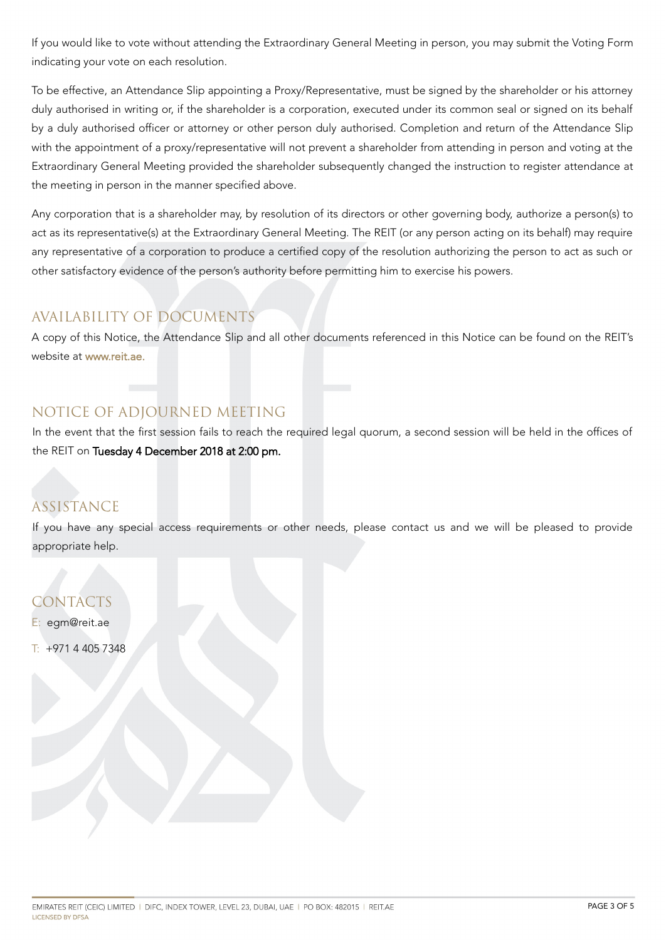If you would like to vote without attending the Extraordinary General Meeting in person, you may submit the Voting Form indicating your vote on each resolution.

To be effective, an Attendance Slip appointing a Proxy/Representative, must be signed by the shareholder or his attorney duly authorised in writing or, if the shareholder is a corporation, executed under its common seal or signed on its behalf by a duly authorised officer or attorney or other person duly authorised. Completion and return of the Attendance Slip with the appointment of a proxy/representative will not prevent a shareholder from attending in person and voting at the Extraordinary General Meeting provided the shareholder subsequently changed the instruction to register attendance at the meeting in person in the manner specified above.

Any corporation that is a shareholder may, by resolution of its directors or other governing body, authorize a person(s) to act as its representative(s) at the Extraordinary General Meeting. The REIT (or any person acting on its behalf) may require any representative of a corporation to produce a certified copy of the resolution authorizing the person to act as such or other satisfactory evidence of the person's authority before permitting him to exercise his powers.

### AVAILABILITY OF DOCUMENTS

A copy of this Notice, the Attendance Slip and all other documents referenced in this Notice can be found on the REIT's website at [www.reit.ae.](http://www.reit.ae/)

## NOTICE OF ADJOURNED MEETING

In the event that the first session fails to reach the required legal quorum, a second session will be held in the offices of the REIT on Tuesday 4 December 2018 at 2:00 pm.

## ASSISTANCE

If you have any special access requirements or other needs, please contact us and we will be pleased to provide appropriate help.

CONTACTS

E: egm@reit.ae

 $T: +97144057348$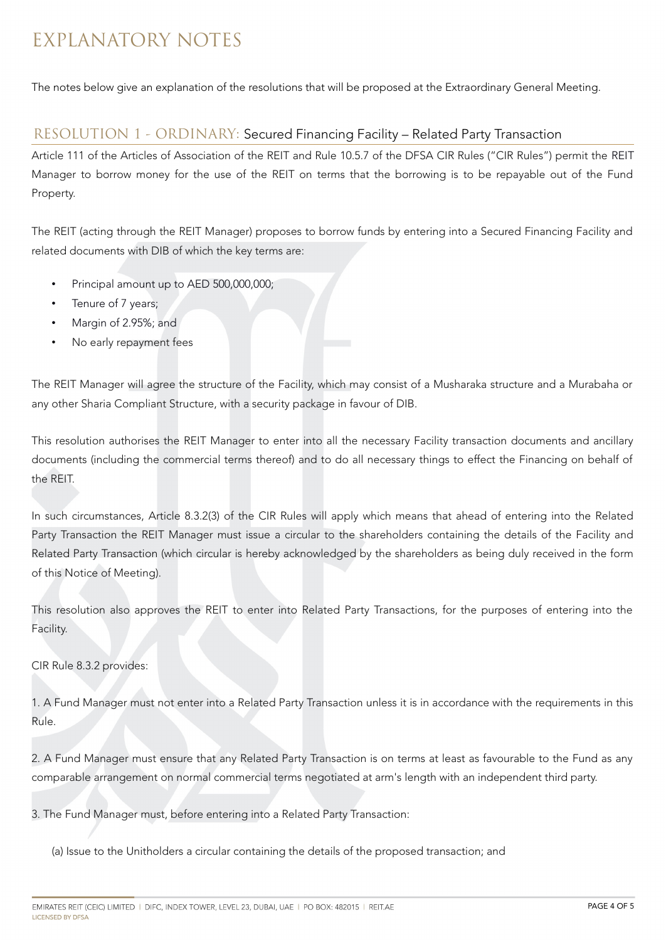# EXPLANATORY NOTES

The notes below give an explanation of the resolutions that will be proposed at the Extraordinary General Meeting.

#### RESOLUTION 1 - ORDINARY: Secured Financing Facility – Related Party Transaction

Article 111 of the Articles of Association of the REIT and Rule 10.5.7 of the DFSA CIR Rules ("CIR Rules") permit the REIT Manager to borrow money for the use of the REIT on terms that the borrowing is to be repayable out of the Fund Property.

The REIT (acting through the REIT Manager) proposes to borrow funds by entering into a Secured Financing Facility and related documents with DIB of which the key terms are:

- Principal amount up to AED 500,000,000;
- Tenure of 7 years;
- Margin of 2.95%; and
- No early repayment fees

The REIT Manager will agree the structure of the Facility, which may consist of a Musharaka structure and a Murabaha or any other Sharia Compliant Structure, with a security package in favour of DIB.

This resolution authorises the REIT Manager to enter into all the necessary Facility transaction documents and ancillary documents (including the commercial terms thereof) and to do all necessary things to effect the Financing on behalf of the REIT.

In such circumstances, Article 8.3.2(3) of the CIR Rules will apply which means that ahead of entering into the Related Party Transaction the REIT Manager must issue a circular to the shareholders containing the details of the Facility and Related Party Transaction (which circular is hereby acknowledged by the shareholders as being duly received in the form of this Notice of Meeting).

This resolution also approves the REIT to enter into Related Party Transactions, for the purposes of entering into the Facility.

CIR Rule 8.3.2 provides:

1. A Fund Manager must not enter into a Related Party Transaction unless it is in accordance with the requirements in this Rule.

2. A Fund Manager must ensure that any Related Party Transaction is on terms at least as favourable to the Fund as any comparable arrangement on normal commercial terms negotiated at arm's length with an independent third party.

3. The Fund Manager must, before entering into a Related Party Transaction:

(a) Issue to the Unitholders a circular containing the details of the proposed transaction; and